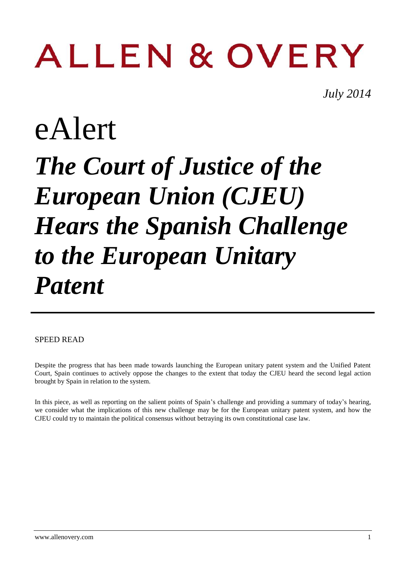# **ALLEN & OVERY**

*July 2014*

## eAlert *The Court of Justice of the European Union (CJEU) Hears the Spanish Challenge to the European Unitary Patent*

#### SPEED READ

Despite the progress that has been made towards launching the European unitary patent system and the Unified Patent Court, Spain continues to actively oppose the changes to the extent that today the CJEU heard the second legal action brought by Spain in relation to the system.

In this piece, as well as reporting on the salient points of Spain's challenge and providing a summary of today's hearing, we consider what the implications of this new challenge may be for the European unitary patent system, and how the CJEU could try to maintain the political consensus without betraying its own constitutional case law.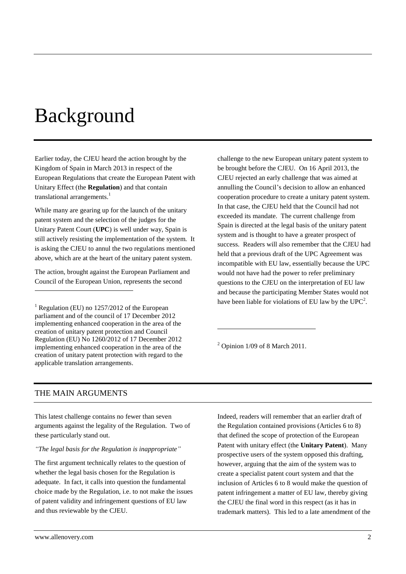## Background

Earlier today, the CJEU heard the action brought by the Kingdom of Spain in March 2013 in respect of the European Regulations that create the European Patent with Unitary Effect (the **Regulation**) and that contain translational arrangements.<sup>1</sup>

While many are gearing up for the launch of the unitary patent system and the selection of the judges for the Unitary Patent Court (**UPC**) is well under way, Spain is still actively resisting the implementation of the system. It is asking the CJEU to annul the two regulations mentioned above, which are at the heart of the unitary patent system.

The action, brought against the European Parliament and Council of the European Union, represents the second

<sup>1</sup> Regulation (EU) no 1257/2012 of the European parliament and of the council of 17 December 2012 implementing enhanced cooperation in the area of the creation of unitary patent protection and Council Regulation (EU) No 1260/2012 of 17 December 2012 implementing enhanced cooperation in the area of the creation of unitary patent protection with regard to the applicable translation arrangements.

challenge to the new European unitary patent system to be brought before the CJEU. On 16 April 2013, the CJEU rejected an early challenge that was aimed at annulling the Council's decision to allow an enhanced cooperation procedure to create a unitary patent system. In that case, the CJEU held that the Council had not exceeded its mandate. The current challenge from Spain is directed at the legal basis of the unitary patent system and is thought to have a greater prospect of success. Readers will also remember that the CJEU had held that a previous draft of the UPC Agreement was incompatible with EU law, essentially because the UPC would not have had the power to refer preliminary questions to the CJEU on the interpretation of EU law and because the participating Member States would not have been liable for violations of EU law by the  $UPC^2$ .

 $2$  Opinion 1/09 of 8 March 2011.

1

#### THE MAIN ARGUMENTS

<u>.</u>

This latest challenge contains no fewer than seven arguments against the legality of the Regulation. Two of these particularly stand out.

#### *"The legal basis for the Regulation is inappropriate"*

The first argument technically relates to the question of whether the legal basis chosen for the Regulation is adequate. In fact, it calls into question the fundamental choice made by the Regulation, i.e. to not make the issues of patent validity and infringement questions of EU law and thus reviewable by the CJEU.

Indeed, readers will remember that an earlier draft of the Regulation contained provisions (Articles 6 to 8) that defined the scope of protection of the European Patent with unitary effect (the **Unitary Patent**). Many prospective users of the system opposed this drafting, however, arguing that the aim of the system was to create a specialist patent court system and that the inclusion of Articles 6 to 8 would make the question of patent infringement a matter of EU law, thereby giving the CJEU the final word in this respect (as it has in trademark matters). This led to a late amendment of the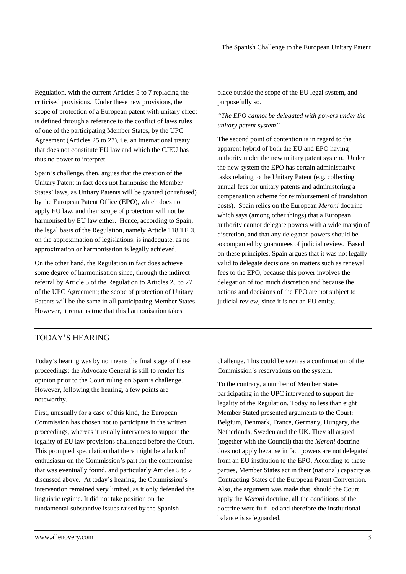Regulation, with the current Articles 5 to 7 replacing the criticised provisions. Under these new provisions, the scope of protection of a European patent with unitary effect is defined through a reference to the conflict of laws rules of one of the participating Member States, by the UPC Agreement (Articles 25 to 27), i.e. an international treaty that does not constitute EU law and which the CJEU has thus no power to interpret.

Spain's challenge, then, argues that the creation of the Unitary Patent in fact does not harmonise the Member States' laws, as Unitary Patents will be granted (or refused) by the European Patent Office (**EPO**), which does not apply EU law, and their scope of protection will not be harmonised by EU law either. Hence, according to Spain, the legal basis of the Regulation, namely Article 118 TFEU on the approximation of legislations, is inadequate, as no approximation or harmonisation is legally achieved.

On the other hand, the Regulation in fact does achieve some degree of harmonisation since, through the indirect referral by Article 5 of the Regulation to Articles 25 to 27 of the UPC Agreement; the scope of protection of Unitary Patents will be the same in all participating Member States. However, it remains true that this harmonisation takes

place outside the scope of the EU legal system, and purposefully so.

#### *"The EPO cannot be delegated with powers under the unitary patent system"*

The second point of contention is in regard to the apparent hybrid of both the EU and EPO having authority under the new unitary patent system. Under the new system the EPO has certain administrative tasks relating to the Unitary Patent (e.g. collecting annual fees for unitary patents and administering a compensation scheme for reimbursement of translation costs). Spain relies on the European *Meroni* doctrine which says (among other things) that a European authority cannot delegate powers with a wide margin of discretion, and that any delegated powers should be accompanied by guarantees of judicial review. Based on these principles, Spain argues that it was not legally valid to delegate decisions on matters such as renewal fees to the EPO, because this power involves the delegation of too much discretion and because the actions and decisions of the EPO are not subject to judicial review, since it is not an EU entity.

#### TODAY'S HEARING

Today's hearing was by no means the final stage of these proceedings: the Advocate General is still to render his opinion prior to the Court ruling on Spain's challenge. However, following the hearing, a few points are noteworthy.

First, unusually for a case of this kind, the European Commission has chosen not to participate in the written proceedings, whereas it usually intervenes to support the legality of EU law provisions challenged before the Court. This prompted speculation that there might be a lack of enthusiasm on the Commission's part for the compromise that was eventually found, and particularly Articles 5 to 7 discussed above. At today's hearing, the Commission's intervention remained very limited, as it only defended the linguistic regime. It did not take position on the fundamental substantive issues raised by the Spanish

challenge. This could be seen as a confirmation of the Commission's reservations on the system.

To the contrary, a number of Member States participating in the UPC intervened to support the legality of the Regulation. Today no less than eight Member Stated presented arguments to the Court: Belgium, Denmark, France, Germany, Hungary, the Netherlands, Sweden and the UK. They all argued (together with the Council) that the *Meroni* doctrine does not apply because in fact powers are not delegated from an EU institution to the EPO. According to these parties, Member States act in their (national) capacity as Contracting States of the European Patent Convention. Also, the argument was made that, should the Court apply the *Meroni* doctrine, all the conditions of the doctrine were fulfilled and therefore the institutional balance is safeguarded.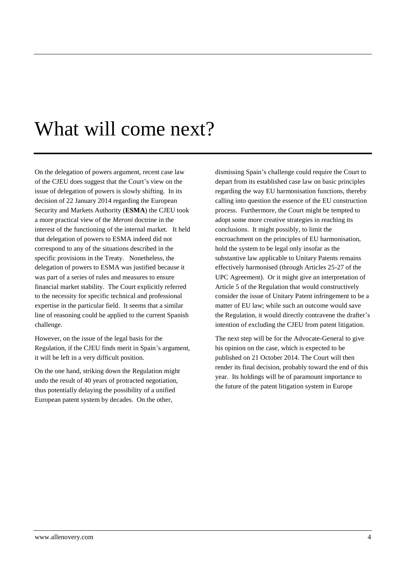### What will come next?

On the delegation of powers argument, recent case law of the CJEU does suggest that the Court's view on the issue of delegation of powers is slowly shifting. In its decision of 22 January 2014 regarding the European Security and Markets Authority (**ESMA**) the CJEU took a more practical view of the *Meroni* doctrine in the interest of the functioning of the internal market. It held that delegation of powers to ESMA indeed did not correspond to any of the situations described in the specific provisions in the Treaty. Nonetheless, the delegation of powers to ESMA was justified because it was part of a series of rules and measures to ensure financial market stability. The Court explicitly referred to the necessity for specific technical and professional expertise in the particular field. It seems that a similar line of reasoning could be applied to the current Spanish challenge.

However, on the issue of the legal basis for the Regulation, if the CJEU finds merit in Spain's argument, it will be left in a very difficult position.

On the one hand, striking down the Regulation might undo the result of 40 years of protracted negotiation, thus potentially delaying the possibility of a unified European patent system by decades. On the other,

dismissing Spain's challenge could require the Court to depart from its established case law on basic principles regarding the way EU harmonisation functions, thereby calling into question the essence of the EU construction process. Furthermore, the Court might be tempted to adopt some more creative strategies in reaching its conclusions. It might possibly, to limit the encroachment on the principles of EU harmonisation, hold the system to be legal only insofar as the substantive law applicable to Unitary Patents remains effectively harmonised (through Articles 25-27 of the UPC Agreement). Or it might give an interpretation of Article 5 of the Regulation that would constructively consider the issue of Unitary Patent infringement to be a matter of EU law; while such an outcome would save the Regulation, it would directly contravene the drafter's intention of excluding the CJEU from patent litigation.

The next step will be for the Advocate-General to give his opinion on the case, which is expected to be published on 21 October 2014. The Court will then render its final decision, probably toward the end of this year. Its holdings will be of paramount importance to the future of the patent litigation system in Europe